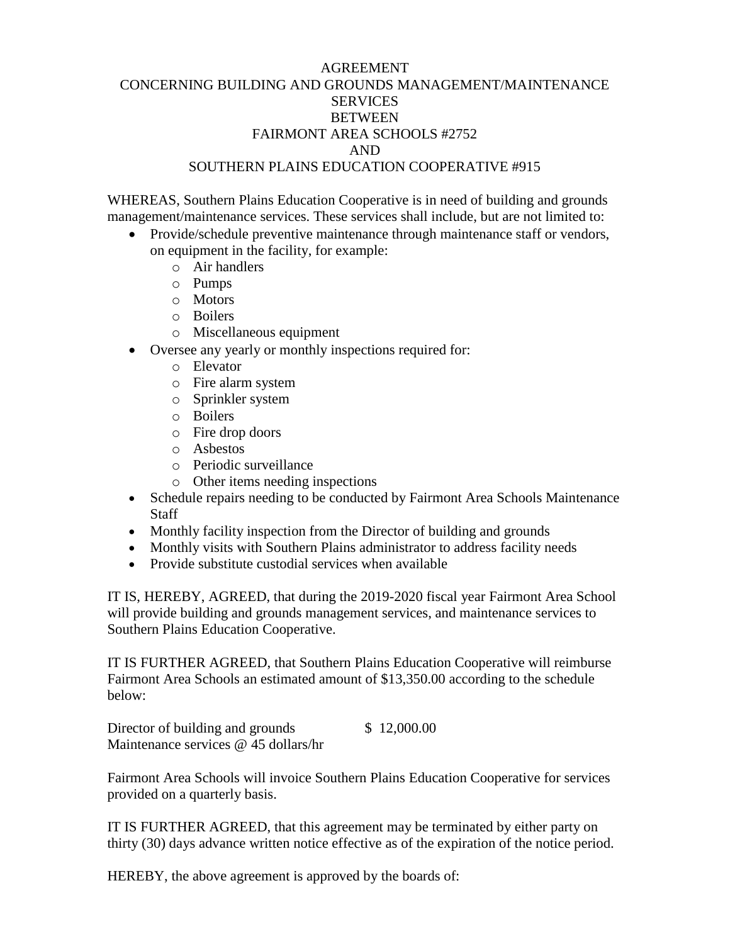## AGREEMENT CONCERNING BUILDING AND GROUNDS MANAGEMENT/MAINTENANCE **SERVICES BETWEEN** FAIRMONT AREA SCHOOLS #2752 AND SOUTHERN PLAINS EDUCATION COOPERATIVE #915

WHEREAS, Southern Plains Education Cooperative is in need of building and grounds management/maintenance services. These services shall include, but are not limited to:

- Provide/schedule preventive maintenance through maintenance staff or vendors, on equipment in the facility, for example:
	- o Air handlers
	- o Pumps
	- o Motors
	- o Boilers
	- o Miscellaneous equipment
- Oversee any yearly or monthly inspections required for:
	- o Elevator
	- o Fire alarm system
	- o Sprinkler system
	- o Boilers
	- o Fire drop doors
	- o Asbestos
	- o Periodic surveillance
	- o Other items needing inspections
- Schedule repairs needing to be conducted by Fairmont Area Schools Maintenance Staff
- Monthly facility inspection from the Director of building and grounds
- Monthly visits with Southern Plains administrator to address facility needs
- Provide substitute custodial services when available

IT IS, HEREBY, AGREED, that during the 2019-2020 fiscal year Fairmont Area School will provide building and grounds management services, and maintenance services to Southern Plains Education Cooperative.

IT IS FURTHER AGREED, that Southern Plains Education Cooperative will reimburse Fairmont Area Schools an estimated amount of \$13,350.00 according to the schedule below:

Director of building and grounds  $$ 12,000.00$ Maintenance services @ 45 dollars/hr

Fairmont Area Schools will invoice Southern Plains Education Cooperative for services provided on a quarterly basis.

IT IS FURTHER AGREED, that this agreement may be terminated by either party on thirty (30) days advance written notice effective as of the expiration of the notice period.

HEREBY, the above agreement is approved by the boards of: